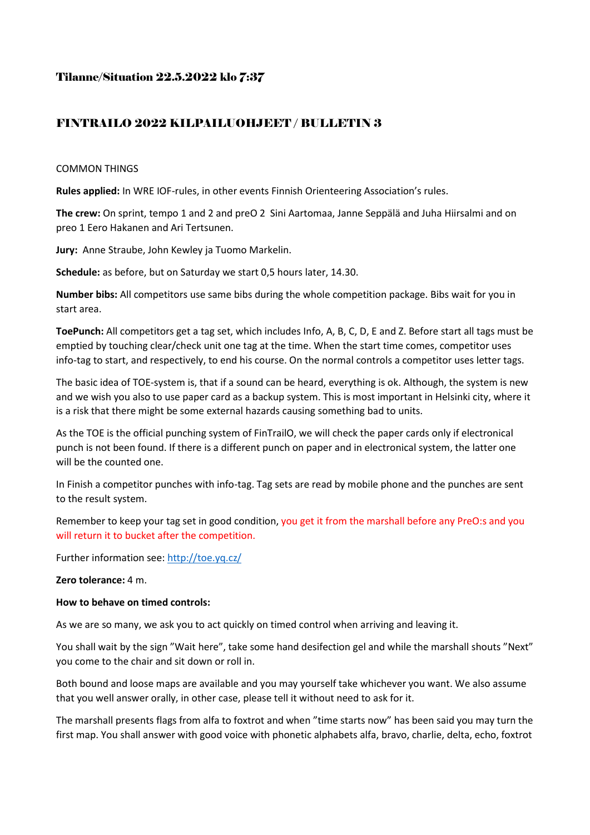### Tilanne/Situation 22.5.2022 klo 7:37

## FINTRAILO 2022 KILPAILUOHJEET / BULLETIN 3

### COMMON THINGS

**Rules applied:** In WRE IOF-rules, in other events Finnish Orienteering Association's rules.

**The crew:** On sprint, tempo 1 and 2 and preO 2 Sini Aartomaa, Janne Seppälä and Juha Hiirsalmi and on preo 1 Eero Hakanen and Ari Tertsunen.

**Jury:** Anne Straube, John Kewley ja Tuomo Markelin.

**Schedule:** as before, but on Saturday we start 0,5 hours later, 14.30.

**Number bibs:** All competitors use same bibs during the whole competition package. Bibs wait for you in start area.

**ToePunch:** All competitors get a tag set, which includes Info, A, B, C, D, E and Z. Before start all tags must be emptied by touching clear/check unit one tag at the time. When the start time comes, competitor uses info-tag to start, and respectively, to end his course. On the normal controls a competitor uses letter tags.

The basic idea of TOE-system is, that if a sound can be heard, everything is ok. Although, the system is new and we wish you also to use paper card as a backup system. This is most important in Helsinki city, where it is a risk that there might be some external hazards causing something bad to units.

As the TOE is the official punching system of FinTrailO, we will check the paper cards only if electronical punch is not been found. If there is a different punch on paper and in electronical system, the latter one will be the counted one.

In Finish a competitor punches with info-tag. Tag sets are read by mobile phone and the punches are sent to the result system.

Remember to keep your tag set in good condition, you get it from the marshall before any PreO:s and you will return it to bucket after the competition.

Further information see:<http://toe.yq.cz/>

### **Zero tolerance:** 4 m.

### **How to behave on timed controls:**

As we are so many, we ask you to act quickly on timed control when arriving and leaving it.

You shall wait by the sign "Wait here", take some hand desifection gel and while the marshall shouts "Next" you come to the chair and sit down or roll in.

Both bound and loose maps are available and you may yourself take whichever you want. We also assume that you well answer orally, in other case, please tell it without need to ask for it.

The marshall presents flags from alfa to foxtrot and when "time starts now" has been said you may turn the first map. You shall answer with good voice with phonetic alphabets alfa, bravo, charlie, delta, echo, foxtrot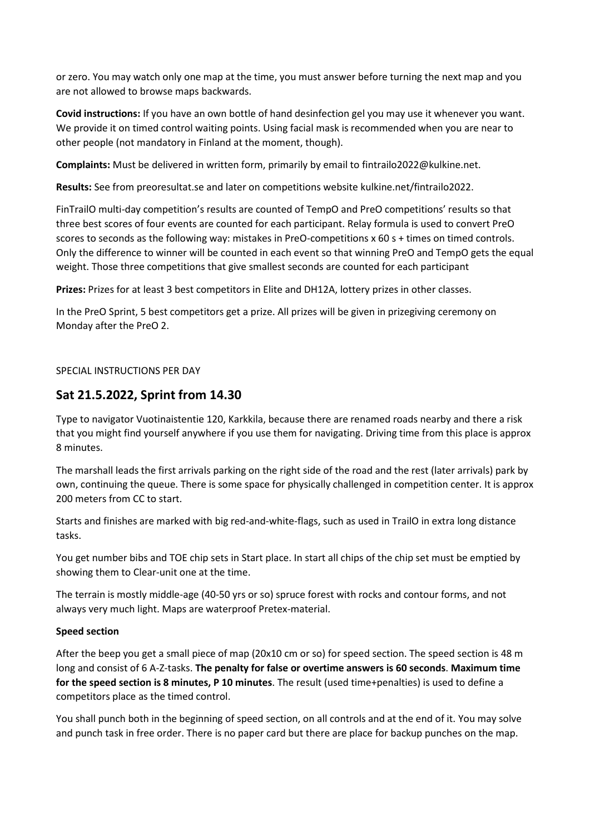or zero. You may watch only one map at the time, you must answer before turning the next map and you are not allowed to browse maps backwards.

**Covid instructions:** If you have an own bottle of hand desinfection gel you may use it whenever you want. We provide it on timed control waiting points. Using facial mask is recommended when you are near to other people (not mandatory in Finland at the moment, though).

**Complaints:** Must be delivered in written form, primarily by email to fintrailo2022@kulkine.net.

**Results:** See from preoresultat.se and later on competitions website kulkine.net/fintrailo2022.

FinTrailO multi-day competition's results are counted of TempO and PreO competitions' results so that three best scores of four events are counted for each participant. Relay formula is used to convert PreO scores to seconds as the following way: mistakes in PreO-competitions x 60 s + times on timed controls. Only the difference to winner will be counted in each event so that winning PreO and TempO gets the equal weight. Those three competitions that give smallest seconds are counted for each participant

**Prizes:** Prizes for at least 3 best competitors in Elite and DH12A, lottery prizes in other classes.

In the PreO Sprint, 5 best competitors get a prize. All prizes will be given in prizegiving ceremony on Monday after the PreO 2.

### SPECIAL INSTRUCTIONS PER DAY

## **Sat 21.5.2022, Sprint from 14.30**

Type to navigator Vuotinaistentie 120, Karkkila, because there are renamed roads nearby and there a risk that you might find yourself anywhere if you use them for navigating. Driving time from this place is approx 8 minutes.

The marshall leads the first arrivals parking on the right side of the road and the rest (later arrivals) park by own, continuing the queue. There is some space for physically challenged in competition center. It is approx 200 meters from CC to start.

Starts and finishes are marked with big red-and-white-flags, such as used in TrailO in extra long distance tasks.

You get number bibs and TOE chip sets in Start place. In start all chips of the chip set must be emptied by showing them to Clear-unit one at the time.

The terrain is mostly middle-age (40-50 yrs or so) spruce forest with rocks and contour forms, and not always very much light. Maps are waterproof Pretex-material.

### **Speed section**

After the beep you get a small piece of map (20x10 cm or so) for speed section. The speed section is 48 m long and consist of 6 A-Z-tasks. **The penalty for false or overtime answers is 60 seconds**. **Maximum time for the speed section is 8 minutes, P 10 minutes**. The result (used time+penalties) is used to define a competitors place as the timed control.

You shall punch both in the beginning of speed section, on all controls and at the end of it. You may solve and punch task in free order. There is no paper card but there are place for backup punches on the map.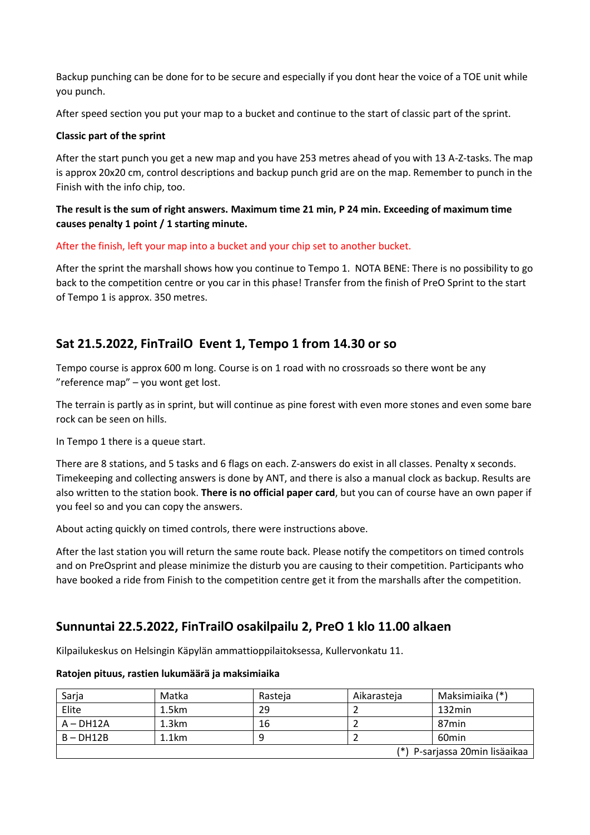Backup punching can be done for to be secure and especially if you dont hear the voice of a TOE unit while you punch.

After speed section you put your map to a bucket and continue to the start of classic part of the sprint.

### **Classic part of the sprint**

After the start punch you get a new map and you have 253 metres ahead of you with 13 A-Z-tasks. The map is approx 20x20 cm, control descriptions and backup punch grid are on the map. Remember to punch in the Finish with the info chip, too.

### **The result is the sum of right answers. Maximum time 21 min, P 24 min. Exceeding of maximum time causes penalty 1 point / 1 starting minute.**

After the finish, left your map into a bucket and your chip set to another bucket.

After the sprint the marshall shows how you continue to Tempo 1. NOTA BENE: There is no possibility to go back to the competition centre or you car in this phase! Transfer from the finish of PreO Sprint to the start of Tempo 1 is approx. 350 metres.

# **Sat 21.5.2022, FinTrailO Event 1, Tempo 1 from 14.30 or so**

Tempo course is approx 600 m long. Course is on 1 road with no crossroads so there wont be any "reference map" – you wont get lost.

The terrain is partly as in sprint, but will continue as pine forest with even more stones and even some bare rock can be seen on hills.

In Tempo 1 there is a queue start.

There are 8 stations, and 5 tasks and 6 flags on each. Z-answers do exist in all classes. Penalty x seconds. Timekeeping and collecting answers is done by ANT, and there is also a manual clock as backup. Results are also written to the station book. **There is no official paper card**, but you can of course have an own paper if you feel so and you can copy the answers.

About acting quickly on timed controls, there were instructions above.

After the last station you will return the same route back. Please notify the competitors on timed controls and on PreOsprint and please minimize the disturb you are causing to their competition. Participants who have booked a ride from Finish to the competition centre get it from the marshalls after the competition.

# **Sunnuntai 22.5.2022, FinTrailO osakilpailu 2, PreO 1 klo 11.00 alkaen**

Kilpailukeskus on Helsingin Käpylän ammattioppilaitoksessa, Kullervonkatu 11.

### **Ratojen pituus, rastien lukumäärä ja maksimiaika**

| Sarja                          | Matka | Rasteja | Aikarasteia | Maksimiaika (*)   |
|--------------------------------|-------|---------|-------------|-------------------|
| Elite                          | 1.5km | 29      |             | 132min            |
| $A - DH12A$                    | 1.3km | 16      |             | 87min             |
| $B - DH12B$                    | 1.1km | q       |             | 60 <sub>min</sub> |
| (*) P-sarjassa 20min lisäaikaa |       |         |             |                   |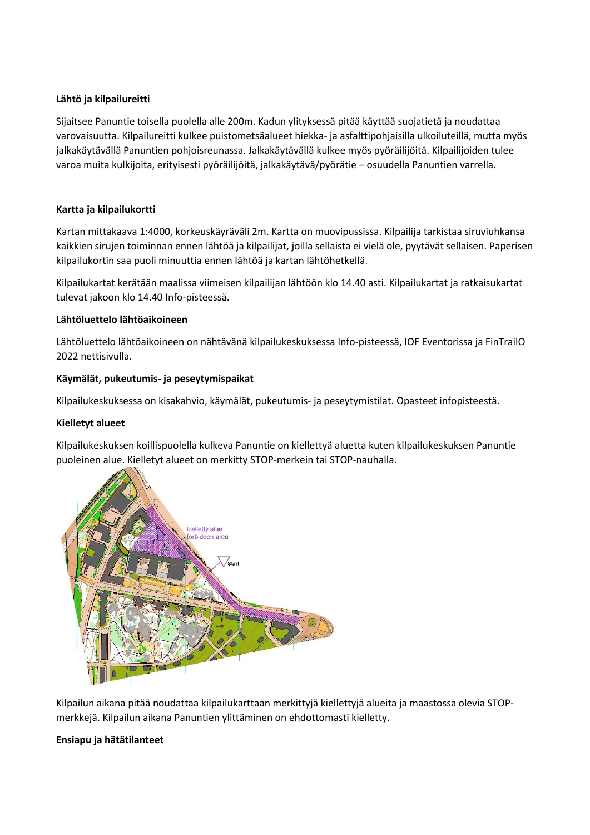### **Lähtö ja kilpailureitti**

Sijaitsee Panuntie toisella puolella alle 200m. Kadun ylityksessä pitää käyttää suojatietä ja noudattaa varovaisuutta. Kilpailureitti kulkee puistometsäalueet hiekka- ja asfalttipohjaisilla ulkoiluteillä, mutta myös jalkakäytävällä Panuntien pohjoisreunassa. Jalkakäytävällä kulkee myös pyöräilijöitä. Kilpailijoiden tulee varoa muita kulkijoita, erityisesti pyöräilijöitä, jalkakäytävä/pyörätie – osuudella Panuntien varrella.

### **Kartta ja kilpailukortti**

Kartan mittakaava 1:4000, korkeuskäyräväli 2m. Kartta on muovipussissa. Kilpailija tarkistaa siruviuhkansa kaikkien sirujen toiminnan ennen lähtöä ja kilpailijat, joilla sellaista ei vielä ole, pyytävät sellaisen. Paperisen kilpailukortin saa puoli minuuttia ennen lähtöä ja kartan lähtöhetkellä.

Kilpailukartat kerätään maalissa viimeisen kilpailijan lähtöön klo 14.40 asti. Kilpailukartat ja ratkaisukartat tulevat jakoon klo 14.40 Info-pisteessä.

### **Lähtöluettelo lähtöaikoineen**

Lähtöluettelo lähtöaikoineen on nähtävänä kilpailukeskuksessa Info-pisteessä, IOF Eventorissa ja FinTrailO 2022 nettisivulla.

### **Käymälät, pukeutumis- ja peseytymispaikat**

Kilpailukeskuksessa on kisakahvio, käymälät, pukeutumis- ja peseytymistilat. Opasteet infopisteestä.

### **Kielletyt alueet**

Kilpailukeskuksen koillispuolella kulkeva Panuntie on kiellettyä aluetta kuten kilpailukeskuksen Panuntie puoleinen alue. Kielletyt alueet on merkitty STOP-merkein tai STOP-nauhalla.



Kilpailun aikana pitää noudattaa kilpailukarttaan merkittyjä kiellettyjä alueita ja maastossa olevia STOPmerkkejä. Kilpailun aikana Panuntien ylittäminen on ehdottomasti kielletty.

### **Ensiapu ja hätätilanteet**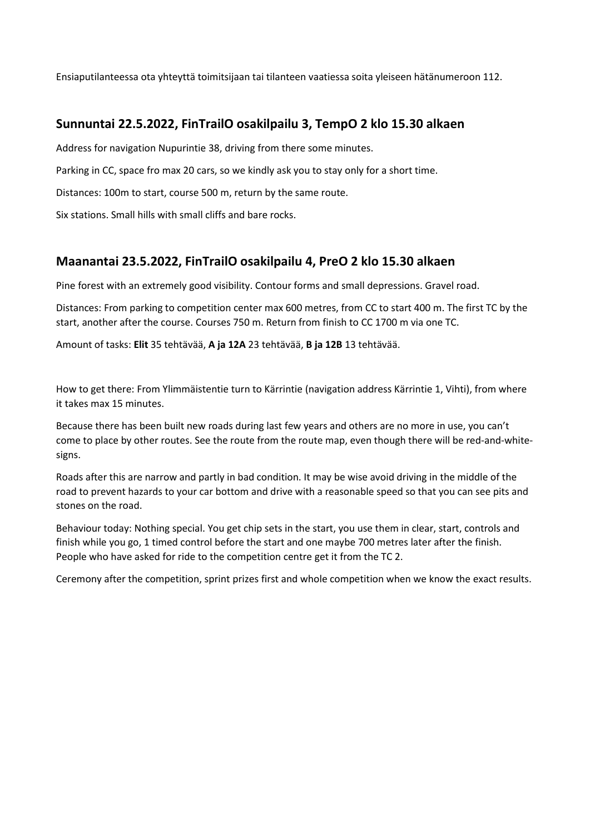Ensiaputilanteessa ota yhteyttä toimitsijaan tai tilanteen vaatiessa soita yleiseen hätänumeroon 112.

# **Sunnuntai 22.5.2022, FinTrailO osakilpailu 3, TempO 2 klo 15.30 alkaen**

Address for navigation Nupurintie 38, driving from there some minutes.

Parking in CC, space fro max 20 cars, so we kindly ask you to stay only for a short time.

Distances: 100m to start, course 500 m, return by the same route.

Six stations. Small hills with small cliffs and bare rocks.

## **Maanantai 23.5.2022, FinTrailO osakilpailu 4, PreO 2 klo 15.30 alkaen**

Pine forest with an extremely good visibility. Contour forms and small depressions. Gravel road.

Distances: From parking to competition center max 600 metres, from CC to start 400 m. The first TC by the start, another after the course. Courses 750 m. Return from finish to CC 1700 m via one TC.

Amount of tasks: **Elit** 35 tehtävää, **A ja 12A** 23 tehtävää, **B ja 12B** 13 tehtävää.

How to get there: From Ylimmäistentie turn to Kärrintie (navigation address Kärrintie 1, Vihti), from where it takes max 15 minutes.

Because there has been built new roads during last few years and others are no more in use, you can't come to place by other routes. See the route from the route map, even though there will be red-and-whitesigns.

Roads after this are narrow and partly in bad condition. It may be wise avoid driving in the middle of the road to prevent hazards to your car bottom and drive with a reasonable speed so that you can see pits and stones on the road.

Behaviour today: Nothing special. You get chip sets in the start, you use them in clear, start, controls and finish while you go, 1 timed control before the start and one maybe 700 metres later after the finish. People who have asked for ride to the competition centre get it from the TC 2.

Ceremony after the competition, sprint prizes first and whole competition when we know the exact results.